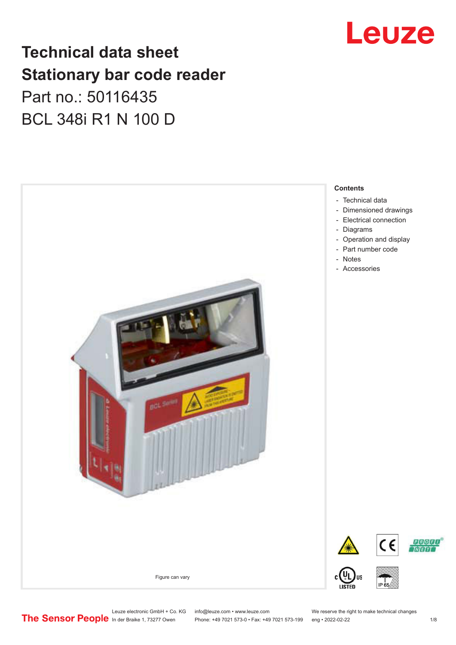## **Technical data sheet Stationary bar code reader** Part no.: 50116435 BCL 348i R1 N 100 D



## Leuze

- [Dimensioned drawings](#page-2-0)
- 
- [Operation and display](#page-3-0)

Leuze electronic GmbH + Co. KG info@leuze.com • www.leuze.com We reserve the right to make technical changes<br>
The Sensor People in der Braike 1, 73277 Owen Phone: +49 7021 573-0 • Fax: +49 7021 573-199 eng • 2022-02-22

Phone: +49 7021 573-0 • Fax: +49 7021 573-199 eng • 2022-02-22 1 /8

**PROED TNTETTT**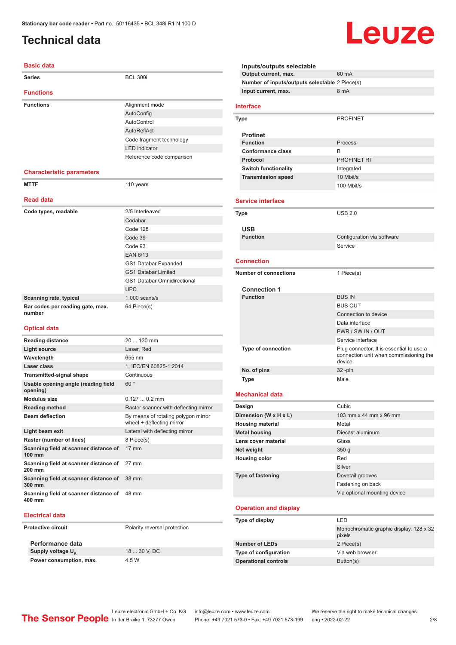## <span id="page-1-0"></span>**Technical data**

#### **Basic data**

| <b>Series</b>                              | <b>BCL 300i</b>                    |
|--------------------------------------------|------------------------------------|
| <b>Functions</b>                           |                                    |
| <b>Functions</b>                           | Alignment mode                     |
|                                            | AutoConfig                         |
|                                            | AutoControl                        |
|                                            | AutoReflAct                        |
|                                            | Code fragment technology           |
|                                            | <b>LED</b> indicator               |
|                                            | Reference code comparison          |
| <b>Characteristic parameters</b>           |                                    |
| <b>MTTF</b>                                | 110 years                          |
| <b>Read data</b>                           |                                    |
| Code types, readable                       | 2/5 Interleaved                    |
|                                            | Codabar                            |
|                                            | Code 128                           |
|                                            | Code 39                            |
|                                            | Code 93                            |
|                                            | <b>EAN 8/13</b>                    |
|                                            | GS1 Databar Expanded               |
|                                            | <b>GS1 Databar Limited</b>         |
|                                            | <b>GS1 Databar Omnidirectional</b> |
|                                            | <b>UPC</b>                         |
| Scanning rate, typical                     | $1.000$ scans/s                    |
| Bar codes per reading gate, max.<br>number | 64 Piece(s)                        |
| <b>Optical data</b>                        |                                    |
| <b>Reading distance</b>                    | 20  130 mm                         |
| <b>Light source</b>                        | Laser, Red                         |
| Wavelength                                 | 655 nm                             |
| Laser class                                | 1, IEC/EN 60825-1:2014             |
| <b>Transmitted-signal shape</b>            | Continuous                         |
|                                            |                                    |

| Usable opening angle (reading field<br>opening) | 60°                                                              |
|-------------------------------------------------|------------------------------------------------------------------|
| <b>Modulus size</b>                             | $0.1270.2$ mm                                                    |
| <b>Reading method</b>                           | Raster scanner with deflecting mirror                            |
| <b>Beam deflection</b>                          | By means of rotating polygon mirror<br>wheel + deflecting mirror |
| Light beam exit                                 | Lateral with deflecting mirror                                   |
| Raster (number of lines)                        | 8 Piece(s)                                                       |
| Scanning field at scanner distance of<br>100 mm | $17 \text{ mm}$                                                  |
| Scanning field at scanner distance of<br>200 mm | $27 \text{ mm}$                                                  |
| Scanning field at scanner distance of<br>300 mm | 38 mm                                                            |
| Scanning field at scanner distance of<br>400 mm | 48 mm                                                            |

#### **Electrical data**

**Protective circuit** Polarity reversal protection

**Performance data** Supply voltage U<sub>B</sub> **Power consumption, max.** 4.5 W

18 ... 30 V, DC

**Inputs/outputs selectable Output current, max.** 60 mA **Number of inputs/outputs selectable** 2 Piece(s) **Input current, max.** 8 mA **Interface Type** PROFINET **Profinet Function** Process **Conformance class** B **Protocol** PROFINET RT **Switch functionality Integrated Transmission speed** 10 Mbit/s 100 Mbit/s **Service interface Type** USB 2.0 **USB Function** Configuration via software Service **Connection Number of connections** 1 Piece(s) **Connection 1 Function** BUS IN BUS OUT Connection to device Data interface PWR / SW IN / OUT Service interface **Type of connection** Plug connector, It is essential to use a connection unit when commissioning the device. **No. of pins** 32 -pin **Type** Male **Mechanical data Design** Cubic **Dimension (W x H x L)** 103 mm x 44 mm x 96 mm **Housing material** Metal **Metal housing** Diecast aluminum **Lens cover material Contract Contract Contract Contract Contract Contract Contract Contract Contract Contract Contract Contract Contract Contract Contract Contract Contract Contract Contract Contract Contract Contract Con Net weight** 350 g **Housing color** Red Silver **Type of fastening** Dovetail grooves Fastening on back Via optional mounting device **Operation and display Type of display** LED Monochromatic graphic display, 128 x 32 pixels **Number of LEDs** 2 Piece(s) **Type of configuration** Via web browser **Operational controls** Button(s)

Leuze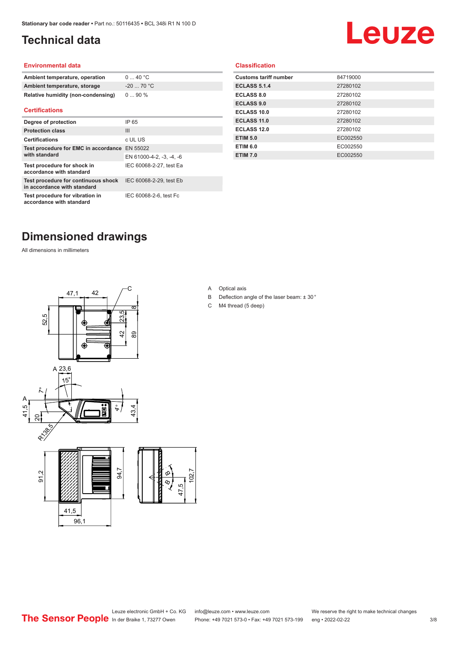## <span id="page-2-0"></span>**Technical data**

# Leuze

#### **Environmental data**

| Ambient temperature, operation     | 040 °C     |
|------------------------------------|------------|
| Ambient temperature, storage       | $-2070 °C$ |
| Relative humidity (non-condensing) | $090\%$    |

#### **Certifications**

| Degree of protection                                               | IP 65                    |
|--------------------------------------------------------------------|--------------------------|
| <b>Protection class</b>                                            | Ш                        |
| <b>Certifications</b>                                              | c UL US                  |
| Test procedure for EMC in accordance EN 55022                      |                          |
| with standard                                                      | EN 61000-4-2, -3, -4, -6 |
| Test procedure for shock in<br>accordance with standard            | IEC 60068-2-27, test Ea  |
| Test procedure for continuous shock<br>in accordance with standard | IEC 60068-2-29, test Eb  |
| Test procedure for vibration in<br>accordance with standard        | IEC 60068-2-6, test Fc   |

#### **Classification**

| <b>Customs tariff number</b> | 84719000 |
|------------------------------|----------|
| <b>ECLASS 5.1.4</b>          | 27280102 |
| <b>ECLASS 8.0</b>            | 27280102 |
| <b>ECLASS 9.0</b>            | 27280102 |
| ECLASS 10.0                  | 27280102 |
| <b>ECLASS 11.0</b>           | 27280102 |
| ECLASS 12.0                  | 27280102 |
| <b>ETIM 5.0</b>              | EC002550 |
| <b>ETIM 6.0</b>              | EC002550 |
| <b>ETIM 7.0</b>              | EC002550 |
|                              |          |

### **Dimensioned drawings**

All dimensions in millimeters



A Optical axis

 $\infty$ 

- B Deflection angle of the laser beam: ± 30 °
- C M4 thread (5 deep)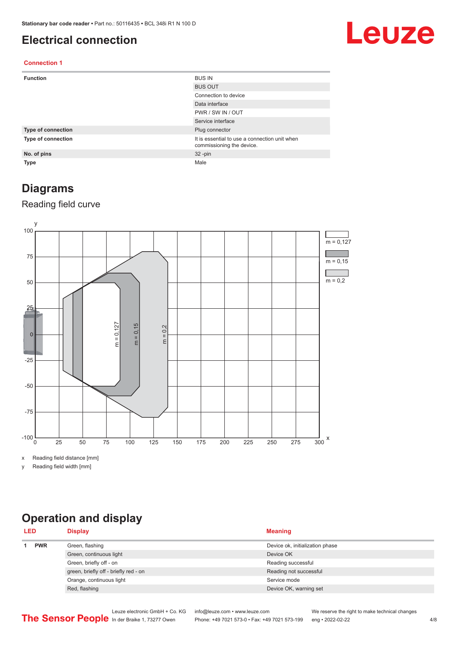#### <span id="page-3-0"></span>**Electrical connection**

## Leuze

#### **Connection 1**

| <b>Function</b>    | <b>BUS IN</b>                                                              |
|--------------------|----------------------------------------------------------------------------|
|                    | <b>BUS OUT</b>                                                             |
|                    | Connection to device                                                       |
|                    | Data interface                                                             |
|                    | PWR / SW IN / OUT                                                          |
|                    | Service interface                                                          |
| Type of connection | Plug connector                                                             |
| Type of connection | It is essential to use a connection unit when<br>commissioning the device. |
| No. of pins        | $32 - pin$                                                                 |
| <b>Type</b>        | Male                                                                       |

#### **Diagrams**

#### Reading field curve



x Reading field distance [mm]

y Reading field width [mm]

## **Operation and display**

| <b>PWR</b><br>Green, flashing<br>Device ok, initialization phase<br>Green, continuous light<br>Device OK | <b>LED</b> | <b>Display</b>          | <b>Meaning</b>     |
|----------------------------------------------------------------------------------------------------------|------------|-------------------------|--------------------|
|                                                                                                          |            |                         |                    |
|                                                                                                          |            |                         |                    |
|                                                                                                          |            | Green, briefly off - on | Reading successful |
| green, briefly off - briefly red - on<br>Reading not successful                                          |            |                         |                    |
| Orange, continuous light<br>Service mode                                                                 |            |                         |                    |
| Red, flashing<br>Device OK, warning set                                                                  |            |                         |                    |

Leuze electronic GmbH + Co. KG info@leuze.com • www.leuze.com We reserve the right to make technical changes<br>
The Sensor People in der Braike 1, 73277 Owen Phone: +49 7021 573-0 • Fax: +49 7021 573-199 eng • 2022-02-22 Phone: +49 7021 573-0 • Fax: +49 7021 573-199 eng • 2022-02-22 4/8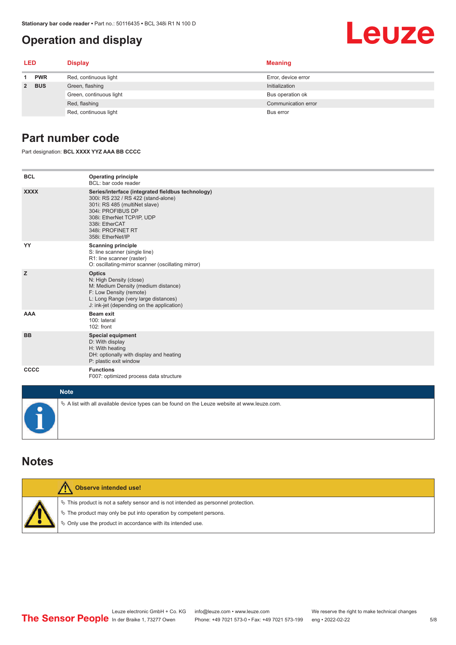### <span id="page-4-0"></span>**Operation and display**

#### **LED Display Meaning 1 PWR** Red, continuous light **Error**, device error **2 BUS** Green, flashing **Initialization** Initialization Green, continuous light **Bus operation of** Bus operation ok Red, flashing **Communication error** communication error communication error communication error Red, continuous light Bus error

#### **Part number code**

Part designation: **BCL XXXX YYZ AAA BB CCCC**

| <b>BCL</b>  | <b>Operating principle</b><br>BCL: bar code reader                                                                                                                                                                                       |
|-------------|------------------------------------------------------------------------------------------------------------------------------------------------------------------------------------------------------------------------------------------|
| <b>XXXX</b> | Series/interface (integrated fieldbus technology)<br>300i: RS 232 / RS 422 (stand-alone)<br>301i: RS 485 (multiNet slave)<br>304i: PROFIBUS DP<br>308i: EtherNet TCP/IP, UDP<br>338i: EtherCAT<br>348i: PROFINET RT<br>358i: EtherNet/IP |
| YY          | <b>Scanning principle</b><br>S: line scanner (single line)<br>R1: line scanner (raster)<br>O: oscillating-mirror scanner (oscillating mirror)                                                                                            |
| z           | <b>Optics</b><br>N: High Density (close)<br>M: Medium Density (medium distance)<br>F: Low Density (remote)<br>L: Long Range (very large distances)<br>J: ink-jet (depending on the application)                                          |
| <b>AAA</b>  | <b>Beam exit</b><br>100: lateral<br>102: front                                                                                                                                                                                           |
| <b>BB</b>   | <b>Special equipment</b><br>D: With display<br>H: With heating<br>DH: optionally with display and heating<br>P: plastic exit window                                                                                                      |
| CCCC        | <b>Functions</b><br>F007: optimized process data structure                                                                                                                                                                               |
| <b>Note</b> |                                                                                                                                                                                                                                          |
|             | $\&$ A list with all available device types can be found on the Leuze website at www.leuze.com.                                                                                                                                          |

#### **Notes**

| Observe intended use!                                                                                                                                                                                                              |
|------------------------------------------------------------------------------------------------------------------------------------------------------------------------------------------------------------------------------------|
| $\%$ This product is not a safety sensor and is not intended as personnel protection.<br>$\%$ The product may only be put into operation by competent persons.<br>$\phi$ Only use the product in accordance with its intended use. |

#### 5/8

Leuze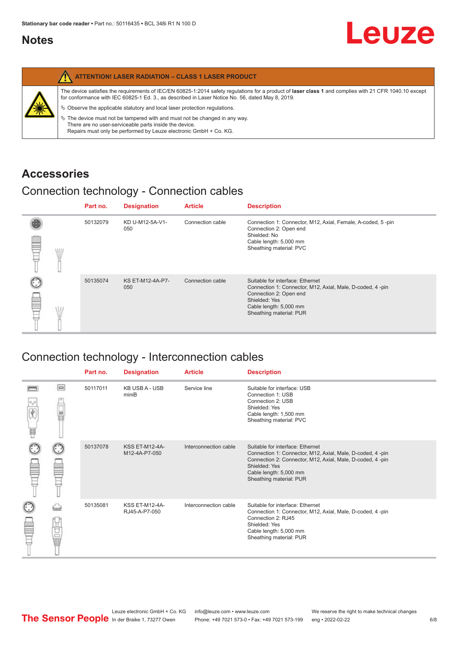#### <span id="page-5-0"></span>**Notes**

|   | <b>ATTENTION! LASER RADIATION - CLASS 1 LASER PRODUCT</b>                                                                                                                                                                                                  |
|---|------------------------------------------------------------------------------------------------------------------------------------------------------------------------------------------------------------------------------------------------------------|
|   | The device satisfies the requirements of IEC/EN 60825-1:2014 safety requlations for a product of laser class 1 and complies with 21 CFR 1040.10 except<br>for conformance with IEC 60825-1 Ed. 3., as described in Laser Notice No. 56, dated May 8, 2019. |
| 纂 | $\&$ Observe the applicable statutory and local laser protection regulations.                                                                                                                                                                              |
|   | $\%$ The device must not be tampered with and must not be changed in any way.<br>There are no user-serviceable parts inside the device.<br>Repairs must only be performed by Leuze electronic GmbH + Co. KG.                                               |

#### **Accessories**

### Connection technology - Connection cables

|      | Part no. | <b>Designation</b>      | <b>Article</b>   | <b>Description</b>                                                                                                                                                                            |
|------|----------|-------------------------|------------------|-----------------------------------------------------------------------------------------------------------------------------------------------------------------------------------------------|
| \ll. | 50132079 | KD U-M12-5A-V1-<br>050  | Connection cable | Connection 1: Connector, M12, Axial, Female, A-coded, 5-pin<br>Connection 2: Open end<br>Shielded: No<br>Cable length: 5,000 mm<br>Sheathing material: PVC                                    |
|      | 50135074 | KS ET-M12-4A-P7-<br>050 | Connection cable | Suitable for interface: Ethernet<br>Connection 1: Connector, M12, Axial, Male, D-coded, 4-pin<br>Connection 2: Open end<br>Shielded: Yes<br>Cable length: 5,000 mm<br>Sheathing material: PUR |

## Connection technology - Interconnection cables

|                           |                                                                                                                                                                                                                                | Part no. | <b>Designation</b>                     | <b>Article</b>        | <b>Description</b>                                                                                                                                                                                                               |
|---------------------------|--------------------------------------------------------------------------------------------------------------------------------------------------------------------------------------------------------------------------------|----------|----------------------------------------|-----------------------|----------------------------------------------------------------------------------------------------------------------------------------------------------------------------------------------------------------------------------|
| $\frac{1}{\sqrt{2}}$<br>Ħ | $\Box$                                                                                                                                                                                                                         | 50117011 | <b>KB USB A - USB</b><br>miniB         | Service line          | Suitable for interface: USB<br>Connection 1: USB<br>Connection 2: USB<br>Shielded: Yes<br>Cable length: 1,500 mm<br>Sheathing material: PVC                                                                                      |
|                           |                                                                                                                                                                                                                                | 50137078 | <b>KSS ET-M12-4A-</b><br>M12-4A-P7-050 | Interconnection cable | Suitable for interface: Ethernet<br>Connection 1: Connector, M12, Axial, Male, D-coded, 4-pin<br>Connection 2: Connector, M12, Axial, Male, D-coded, 4-pin<br>Shielded: Yes<br>Cable length: 5,000 mm<br>Sheathing material: PUR |
|                           | the filled the control in the control in the control in the control in the control in the control in the control in the control in the control in the control in the control in the control in the control in the control in t | 50135081 | <b>KSS ET-M12-4A-</b><br>RJ45-A-P7-050 | Interconnection cable | Suitable for interface: Ethernet<br>Connection 1: Connector, M12, Axial, Male, D-coded, 4-pin<br>Connection 2: RJ45<br>Shielded: Yes<br>Cable length: 5,000 mm<br>Sheathing material: PUR                                        |

Leuze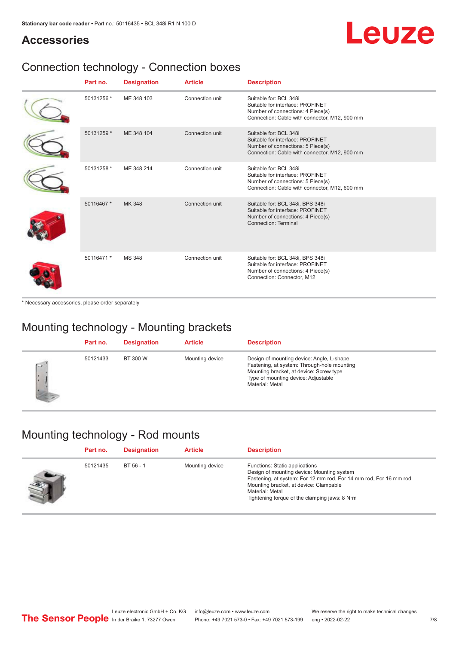## Leuze

#### **Accessories**

## Connection technology - Connection boxes

| Part no.   | <b>Designation</b> | <b>Article</b>  | <b>Description</b>                                                                                                                               |
|------------|--------------------|-----------------|--------------------------------------------------------------------------------------------------------------------------------------------------|
| 50131256 * | ME 348 103         | Connection unit | Suitable for: BCL 348i<br>Suitable for interface: PROFINET<br>Number of connections: 4 Piece(s)<br>Connection: Cable with connector, M12, 900 mm |
| 50131259 * | ME 348 104         | Connection unit | Suitable for: BCL 348i<br>Suitable for interface: PROFINET<br>Number of connections: 5 Piece(s)<br>Connection: Cable with connector, M12, 900 mm |
| 50131258 * | ME 348 214         | Connection unit | Suitable for: BCL 348i<br>Suitable for interface: PROFINET<br>Number of connections: 5 Piece(s)<br>Connection: Cable with connector, M12, 600 mm |
| 50116467 * | MK 348             | Connection unit | Suitable for: BCL 348i, BPS 348i<br>Suitable for interface: PROFINET<br>Number of connections: 4 Piece(s)<br>Connection: Terminal                |
| 50116471 * | <b>MS 348</b>      | Connection unit | Suitable for: BCL 348i, BPS 348i<br>Suitable for interface: PROFINET<br>Number of connections: 4 Piece(s)<br>Connection: Connector, M12          |

\* Necessary accessories, please order separately

### Mounting technology - Mounting brackets

|              | Part no. | <b>Designation</b> | <b>Article</b>  | <b>Description</b>                                                                                                                                                                            |
|--------------|----------|--------------------|-----------------|-----------------------------------------------------------------------------------------------------------------------------------------------------------------------------------------------|
| $\sim$<br>ı. | 50121433 | BT 300 W           | Mounting device | Design of mounting device: Angle, L-shape<br>Fastening, at system: Through-hole mounting<br>Mounting bracket, at device: Screw type<br>Type of mounting device: Adjustable<br>Material: Metal |

### Mounting technology - Rod mounts

| Part no. | <b>Designation</b> | <b>Article</b>  | <b>Description</b>                                                                                                                                                                                                                                                |
|----------|--------------------|-----------------|-------------------------------------------------------------------------------------------------------------------------------------------------------------------------------------------------------------------------------------------------------------------|
| 50121435 | BT 56 - 1          | Mounting device | Functions: Static applications<br>Design of mounting device: Mounting system<br>Fastening, at system: For 12 mm rod, For 14 mm rod, For 16 mm rod<br>Mounting bracket, at device: Clampable<br>Material: Metal<br>Tightening torque of the clamping jaws: $8 N·m$ |